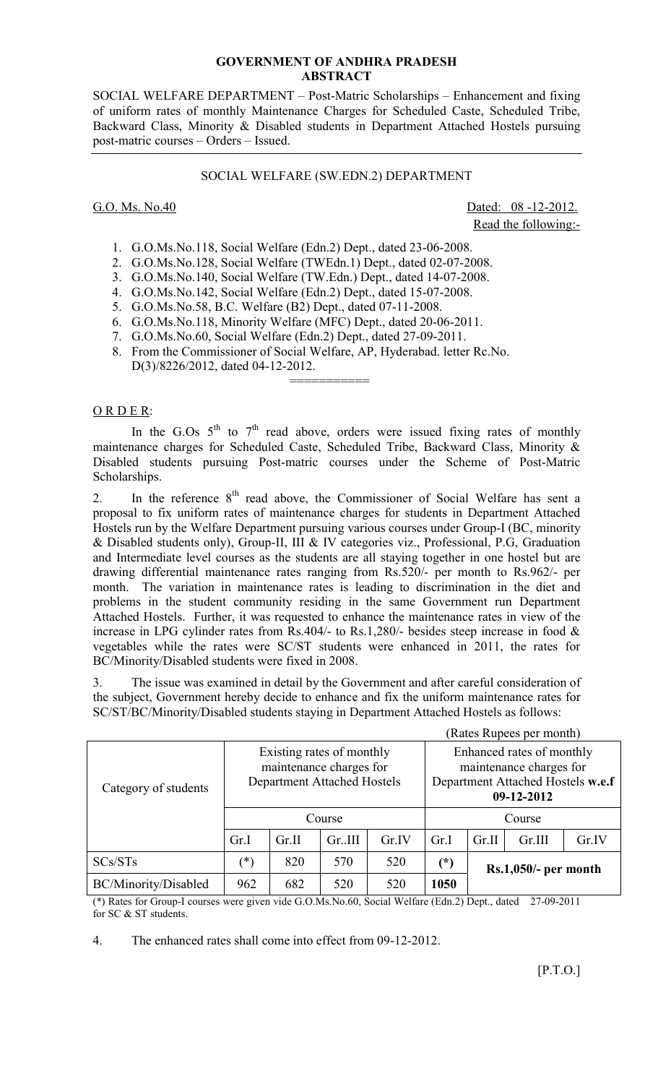## **GOVERNMENT OF ANDHRA PRADESH ABSTRACT**

SOCIAL WELFARE DEPARTMENT – Post-Matric Scholarships – Enhancement and fixing of uniform rates of monthly Maintenance Charges for Scheduled Caste, Scheduled Tribe, Backward Class, Minority & Disabled students in Department Attached Hostels pursuing post-matric courses – Orders – Issued.

# SOCIAL WELFARE (SW.EDN.2) DEPARTMENT

G.O. Ms. No.40 Dated: 08 -12-2012. Read the following:-

- 1. G.O.Ms.No.118, Social Welfare (Edn.2) Dept., dated 23-06-2008.
- 2. G.O.Ms.No.128, Social Welfare (TWEdn.1) Dept., dated 02-07-2008.
- 3. G.O.Ms.No.140, Social Welfare (TW.Edn.) Dept., dated 14-07-2008.
- 4. G.O.Ms.No.142, Social Welfare (Edn.2) Dept., dated 15-07-2008.
- 5. G.O.Ms.No.58, B.C. Welfare (B2) Dept., dated 07-11-2008.

===========

- 6. G.O.Ms.No.118, Minority Welfare (MFC) Dept., dated 20-06-2011.
- 7. G.O.Ms.No.60, Social Welfare (Edn.2) Dept., dated 27-09-2011.
- 8. From the Commissioner of Social Welfare, AP, Hyderabad. letter Rc.No. D(3)/8226/2012, dated 04-12-2012.

### ORDER:

In the G.Os  $5<sup>th</sup>$  to  $7<sup>th</sup>$  read above, orders were issued fixing rates of monthly maintenance charges for Scheduled Caste, Scheduled Tribe, Backward Class, Minority & Disabled students pursuing Post-matric courses under the Scheme of Post-Matric Scholarships.

2. In the reference  $8<sup>th</sup>$  read above, the Commissioner of Social Welfare has sent a proposal to fix uniform rates of maintenance charges for students in Department Attached Hostels run by the Welfare Department pursuing various courses under Group-I (BC, minority & Disabled students only), Group-II, III & IV categories viz., Professional, P.G, Graduation and Intermediate level courses as the students are all staying together in one hostel but are drawing differential maintenance rates ranging from Rs.520/- per month to Rs.962/- per month. The variation in maintenance rates is leading to discrimination in the diet and problems in the student community residing in the same Government run Department Attached Hostels. Further, it was requested to enhance the maintenance rates in view of the increase in LPG cylinder rates from Rs.404/- to Rs.1,280/- besides steep increase in food & vegetables while the rates were SC/ST students were enhanced in 2011, the rates for BC/Minority/Disabled students were fixed in 2008.

The issue was examined in detail by the Government and after careful consideration of the subject, Government hereby decide to enhance and fix the uniform maintenance rates for SC/ST/BC/Minority/Disabled students staying in Department Attached Hostels as follows:

|                      |                                                                                            |       |        |       |                                                                                                         | (Rates Rupees per month) |        |       |  |
|----------------------|--------------------------------------------------------------------------------------------|-------|--------|-------|---------------------------------------------------------------------------------------------------------|--------------------------|--------|-------|--|
| Category of students | Existing rates of monthly<br>maintenance charges for<br><b>Department Attached Hostels</b> |       |        |       | Enhanced rates of monthly<br>maintenance charges for<br>Department Attached Hostels w.e.f<br>09-12-2012 |                          |        |       |  |
|                      | Course                                                                                     |       |        |       | Course                                                                                                  |                          |        |       |  |
|                      | Gr.I                                                                                       | Gr.II | Gr.III | Gr.IV | Gr.I                                                                                                    | Gr.II                    | Gr.III | Gr.IV |  |
| SCs/STs              | ′*)                                                                                        | 820   | 570    | 520   | $(\dot{\zeta})$                                                                                         | Rs.1,050/- per month     |        |       |  |
| BC/Minority/Disabled | 962                                                                                        | 682   | 520    | 520   | 1050                                                                                                    |                          |        |       |  |

(\*) Rates for Group-I courses were given vide G.O.Ms.No.60, Social Welfare (Edn.2) Dept., dated 27-09-2011 for SC & ST students.

4. The enhanced rates shall come into effect from 09-12-2012.